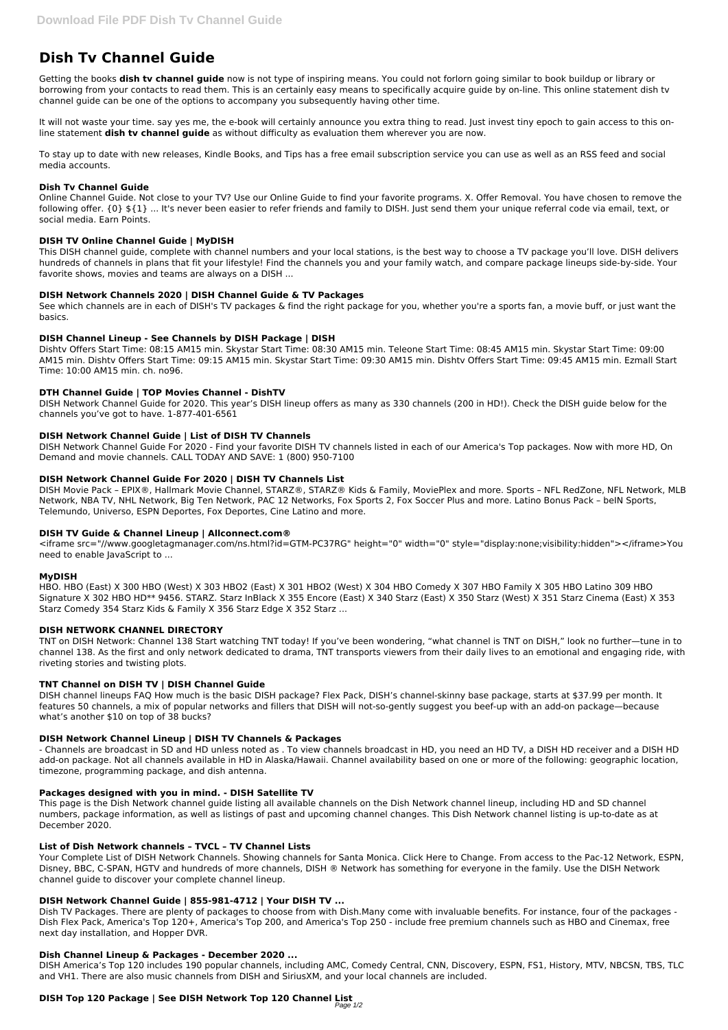# **Dish Tv Channel Guide**

Getting the books **dish tv channel guide** now is not type of inspiring means. You could not forlorn going similar to book buildup or library or borrowing from your contacts to read them. This is an certainly easy means to specifically acquire guide by on-line. This online statement dish tv channel guide can be one of the options to accompany you subsequently having other time.

It will not waste your time. say yes me, the e-book will certainly announce you extra thing to read. Just invest tiny epoch to gain access to this online statement **dish tv channel guide** as without difficulty as evaluation them wherever you are now.

To stay up to date with new releases, Kindle Books, and Tips has a free email subscription service you can use as well as an RSS feed and social media accounts.

## **Dish Tv Channel Guide**

Online Channel Guide. Not close to your TV? Use our Online Guide to find your favorite programs. X. Offer Removal. You have chosen to remove the following offer. {0} \${1} ... It's never been easier to refer friends and family to DISH. Just send them your unique referral code via email, text, or social media. Earn Points.

## **DISH TV Online Channel Guide | MyDISH**

This DISH channel guide, complete with channel numbers and your local stations, is the best way to choose a TV package you'll love. DISH delivers hundreds of channels in plans that fit your lifestyle! Find the channels you and your family watch, and compare package lineups side-by-side. Your favorite shows, movies and teams are always on a DISH ...

## **DISH Network Channels 2020 | DISH Channel Guide & TV Packages**

See which channels are in each of DISH's TV packages & find the right package for you, whether you're a sports fan, a movie buff, or just want the basics.

## **DISH Channel Lineup - See Channels by DISH Package | DISH**

Dishtv Offers Start Time: 08:15 AM15 min. Skystar Start Time: 08:30 AM15 min. Teleone Start Time: 08:45 AM15 min. Skystar Start Time: 09:00 AM15 min. Dishtv Offers Start Time: 09:15 AM15 min. Skystar Start Time: 09:30 AM15 min. Dishtv Offers Start Time: 09:45 AM15 min. Ezmall Start Time: 10:00 AM15 min. ch. no96.

#### **DTH Channel Guide | TOP Movies Channel - DishTV**

DISH Network Channel Guide for 2020. This year's DISH lineup offers as many as 330 channels (200 in HD!). Check the DISH guide below for the channels you've got to have. 1-877-401-6561

## **DISH Network Channel Guide | List of DISH TV Channels**

DISH Network Channel Guide For 2020 - Find your favorite DISH TV channels listed in each of our America's Top packages. Now with more HD, On Demand and movie channels. CALL TODAY AND SAVE: 1 (800) 950-7100

#### **DISH Network Channel Guide For 2020 | DISH TV Channels List**

DISH Movie Pack – EPIX®, Hallmark Movie Channel, STARZ®, STARZ® Kids & Family, MoviePlex and more. Sports – NFL RedZone, NFL Network, MLB Network, NBA TV, NHL Network, Big Ten Network, PAC 12 Networks, Fox Sports 2, Fox Soccer Plus and more. Latino Bonus Pack – beIN Sports, Telemundo, Universo, ESPN Deportes, Fox Deportes, Cine Latino and more.

#### **DISH TV Guide & Channel Lineup | Allconnect.com®**

<iframe src="//www.googletagmanager.com/ns.html?id=GTM-PC37RG" height="0" width="0" style="display:none;visibility:hidden"></iframe>You need to enable JavaScript to ...

#### **MyDISH**

HBO. HBO (East) X 300 HBO (West) X 303 HBO2 (East) X 301 HBO2 (West) X 304 HBO Comedy X 307 HBO Family X 305 HBO Latino 309 HBO Signature X 302 HBO HD\*\* 9456. STARZ. Starz InBlack X 355 Encore (East) X 340 Starz (East) X 350 Starz (West) X 351 Starz Cinema (East) X 353 Starz Comedy 354 Starz Kids & Family X 356 Starz Edge X 352 Starz ...

#### **DISH NETWORK CHANNEL DIRECTORY**

TNT on DISH Network: Channel 138 Start watching TNT today! If you've been wondering, "what channel is TNT on DISH," look no further—tune in to channel 138. As the first and only network dedicated to drama, TNT transports viewers from their daily lives to an emotional and engaging ride, with riveting stories and twisting plots.

## **TNT Channel on DISH TV | DISH Channel Guide**

DISH channel lineups FAQ How much is the basic DISH package? Flex Pack, DISH's channel-skinny base package, starts at \$37.99 per month. It features 50 channels, a mix of popular networks and fillers that DISH will not-so-gently suggest you beef-up with an add-on package—because what's another \$10 on top of 38 bucks?

## **DISH Network Channel Lineup | DISH TV Channels & Packages**

- Channels are broadcast in SD and HD unless noted as . To view channels broadcast in HD, you need an HD TV, a DISH HD receiver and a DISH HD add-on package. Not all channels available in HD in Alaska/Hawaii. Channel availability based on one or more of the following: geographic location, timezone, programming package, and dish antenna.

#### **Packages designed with you in mind. - DISH Satellite TV**

This page is the Dish Network channel guide listing all available channels on the Dish Network channel lineup, including HD and SD channel numbers, package information, as well as listings of past and upcoming channel changes. This Dish Network channel listing is up-to-date as at December 2020.

#### **List of Dish Network channels – TVCL – TV Channel Lists**

Your Complete List of DISH Network Channels. Showing channels for Santa Monica. Click Here to Change. From access to the Pac-12 Network, ESPN, Disney, BBC, C-SPAN, HGTV and hundreds of more channels, DISH ® Network has something for everyone in the family. Use the DISH Network channel guide to discover your complete channel lineup.

#### **DISH Network Channel Guide | 855-981-4712 | Your DISH TV ...**

Dish TV Packages. There are plenty of packages to choose from with Dish.Many come with invaluable benefits. For instance, four of the packages - Dish Flex Pack, America's Top 120+, America's Top 200, and America's Top 250 - include free premium channels such as HBO and Cinemax, free next day installation, and Hopper DVR.

#### **Dish Channel Lineup & Packages - December 2020 ...**

DISH America's Top 120 includes 190 popular channels, including AMC, Comedy Central, CNN, Discovery, ESPN, FS1, History, MTV, NBCSN, TBS, TLC and VH1. There are also music channels from DISH and SiriusXM, and your local channels are included.

## **DISH Top 120 Package | See DISH Network Top 120 Channel List**

Page 1/2